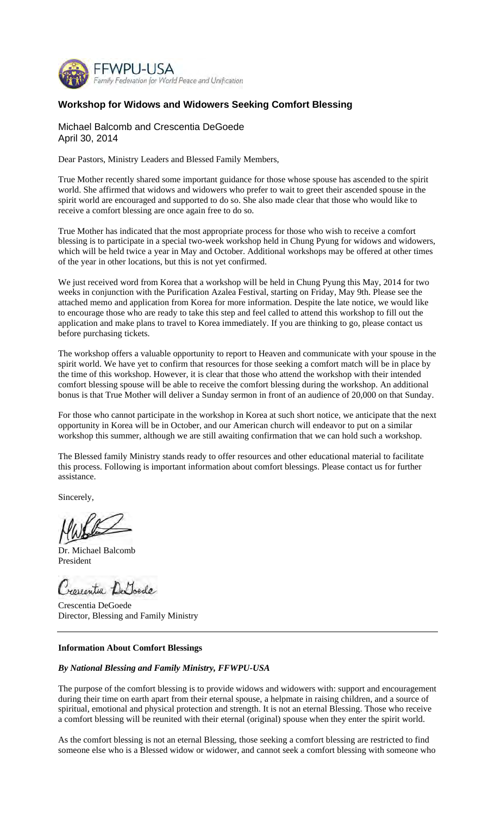

# **Workshop for Widows and Widowers Seeking Comfort Blessing**

## Michael Balcomb and Crescentia DeGoede April 30, 2014

Dear Pastors, Ministry Leaders and Blessed Family Members,

True Mother recently shared some important guidance for those whose spouse has ascended to the spirit world. She affirmed that widows and widowers who prefer to wait to greet their ascended spouse in the spirit world are encouraged and supported to do so. She also made clear that those who would like to receive a comfort blessing are once again free to do so.

True Mother has indicated that the most appropriate process for those who wish to receive a comfort blessing is to participate in a special two-week workshop held in Chung Pyung for widows and widowers, which will be held twice a year in May and October. Additional workshops may be offered at other times of the year in other locations, but this is not yet confirmed.

We just received word from Korea that a workshop will be held in Chung Pyung this May, 2014 for two weeks in conjunction with the Purification Azalea Festival, starting on Friday, May 9th. Please see the attached memo and application from Korea for more information. Despite the late notice, we would like to encourage those who are ready to take this step and feel called to attend this workshop to fill out the application and make plans to travel to Korea immediately. If you are thinking to go, please contact us before purchasing tickets.

The workshop offers a valuable opportunity to report to Heaven and communicate with your spouse in the spirit world. We have yet to confirm that resources for those seeking a comfort match will be in place by the time of this workshop. However, it is clear that those who attend the workshop with their intended comfort blessing spouse will be able to receive the comfort blessing during the workshop. An additional bonus is that True Mother will deliver a Sunday sermon in front of an audience of 20,000 on that Sunday.

For those who cannot participate in the workshop in Korea at such short notice, we anticipate that the next opportunity in Korea will be in October, and our American church will endeavor to put on a similar workshop this summer, although we are still awaiting confirmation that we can hold such a workshop.

The Blessed family Ministry stands ready to offer resources and other educational material to facilitate this process. Following is important information about comfort blessings. Please contact us for further assistance.

Sincerely,

Dr. Michael Balcomb President

Crossentia De Toede

Crescentia DeGoede Director, Blessing and Family Ministry

#### **Information About Comfort Blessings**

#### *By National Blessing and Family Ministry, FFWPU-USA*

The purpose of the comfort blessing is to provide widows and widowers with: support and encouragement during their time on earth apart from their eternal spouse, a helpmate in raising children, and a source of spiritual, emotional and physical protection and strength. It is not an eternal Blessing. Those who receive a comfort blessing will be reunited with their eternal (original) spouse when they enter the spirit world.

As the comfort blessing is not an eternal Blessing, those seeking a comfort blessing are restricted to find someone else who is a Blessed widow or widower, and cannot seek a comfort blessing with someone who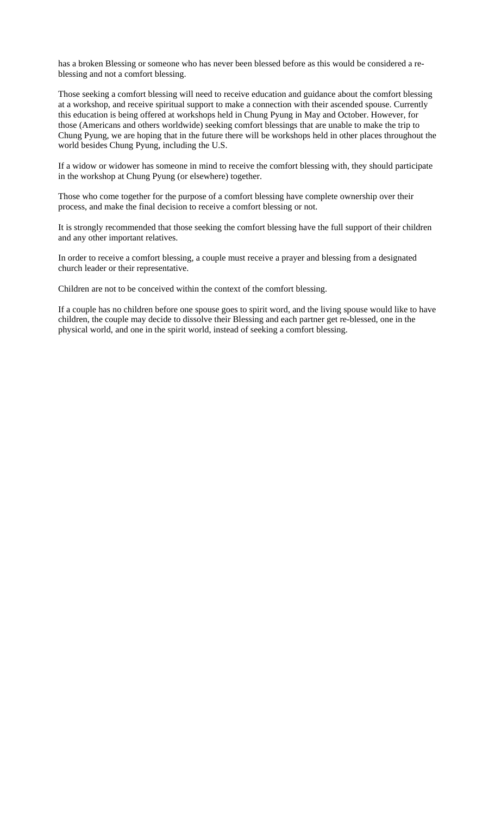has a broken Blessing or someone who has never been blessed before as this would be considered a reblessing and not a comfort blessing.

Those seeking a comfort blessing will need to receive education and guidance about the comfort blessing at a workshop, and receive spiritual support to make a connection with their ascended spouse. Currently this education is being offered at workshops held in Chung Pyung in May and October. However, for those (Americans and others worldwide) seeking comfort blessings that are unable to make the trip to Chung Pyung, we are hoping that in the future there will be workshops held in other places throughout the world besides Chung Pyung, including the U.S.

If a widow or widower has someone in mind to receive the comfort blessing with, they should participate in the workshop at Chung Pyung (or elsewhere) together.

Those who come together for the purpose of a comfort blessing have complete ownership over their process, and make the final decision to receive a comfort blessing or not.

It is strongly recommended that those seeking the comfort blessing have the full support of their children and any other important relatives.

In order to receive a comfort blessing, a couple must receive a prayer and blessing from a designated church leader or their representative.

Children are not to be conceived within the context of the comfort blessing.

If a couple has no children before one spouse goes to spirit word, and the living spouse would like to have children, the couple may decide to dissolve their Blessing and each partner get re-blessed, one in the physical world, and one in the spirit world, instead of seeking a comfort blessing.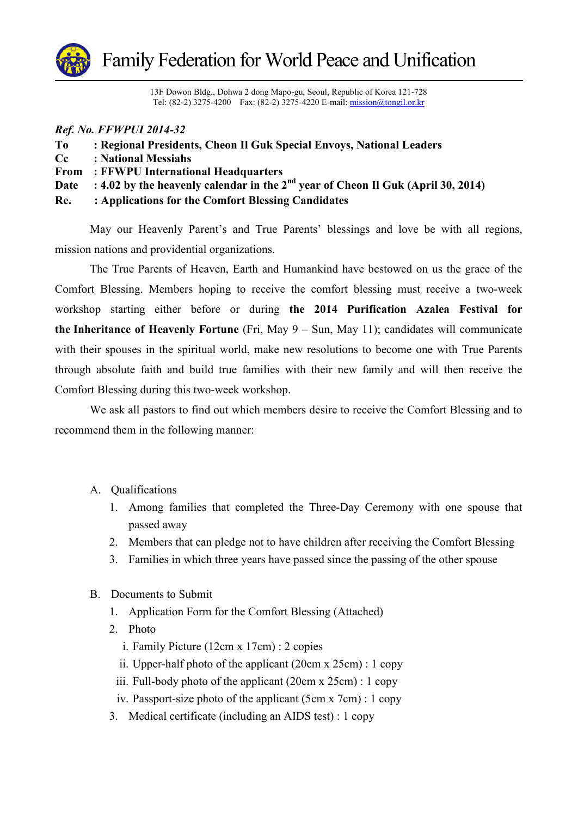

13F Dowon Bldg., Dohwa 2 dong Mapo-gu, Seoul, Republic of Korea 121-728 Tel: (82-2) 3275-4200 Fax: (82-2) 3275-4220 E-mail: <u>mission@tongil.or.kr</u>

## *Ref. No. FFWPUI 2014-32*

| To       | : Regional Presidents, Cheon Il Guk Special Envoys, National Leaders                  |
|----------|---------------------------------------------------------------------------------------|
| $\bf Cc$ | : National Messiahs                                                                   |
|          | <b>From</b> : FFWPU International Headquarters                                        |
| Date     | : 4.02 by the heavenly calendar in the $2^{nd}$ year of Cheon Il Guk (April 30, 2014) |
| Re.      | : Applications for the Comfort Blessing Candidates                                    |

May our Heavenly Parent's and True Parents' blessings and love be with all regions, mission nations and providential organizations.

The True Parents of Heaven, Earth and Humankind have bestowed on us the grace of the Comfort Blessing. Members hoping to receive the comfort blessing must receive a two-week workshop starting either before or during **the 2014 Purification Azalea Festival for the Inheritance of Heavenly Fortune** (Fri, May 9 – Sun, May 11); candidates will communicate with their spouses in the spiritual world, make new resolutions to become one with True Parents through absolute faith and build true families with their new family and will then receive the Comfort Blessing during this two-week workshop.

We ask all pastors to find out which members desire to receive the Comfort Blessing and to recommend them in the following manner:

- A. Qualifications
	- 1. Among families that completed the Three-Day Ceremony with one spouse that passed away
	- 2. Members that can pledge not to have children after receiving the Comfort Blessing
	- 3. Families in which three years have passed since the passing of the other spouse
- B. Documents to Submit
	- 1. Application Form for the Comfort Blessing (Attached)
	- 2. Photo
		- i. Family Picture (12cm x 17cm) : 2 copies
		- ii. Upper-half photo of the applicant (20cm x 25cm) : 1 copy
		- iii. Full-body photo of the applicant (20cm x 25cm) : 1 copy
	- iv. Passport-size photo of the applicant (5cm x 7cm) : 1 copy
	- 3. Medical certificate (including an AIDS test) : 1 copy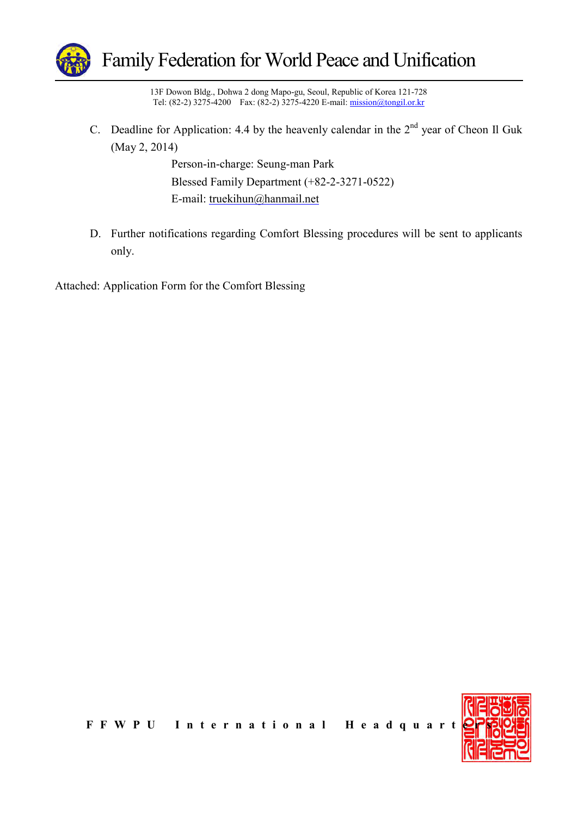

13F Dowon Bldg., Dohwa 2 dong Mapo-gu, Seoul, Republic of Korea 121-728 Tel: (82-2) 3275-4200 Fax: (82-2) 3275-4220 E-mail: <u>mission@tongil.or.kr</u>

C. Deadline for Application: 4.4 by the heavenly calendar in the  $2<sup>nd</sup>$  year of Cheon Il Guk (May 2, 2014)

> Person-in-charge: Seung-man Park Blessed Family Department (+82-2-3271-0522) E-mail: truekihun@hanmail.net

D. Further notifications regarding Comfort Blessing procedures will be sent to applicants only.

Attached: Application Form for the Comfort Blessing